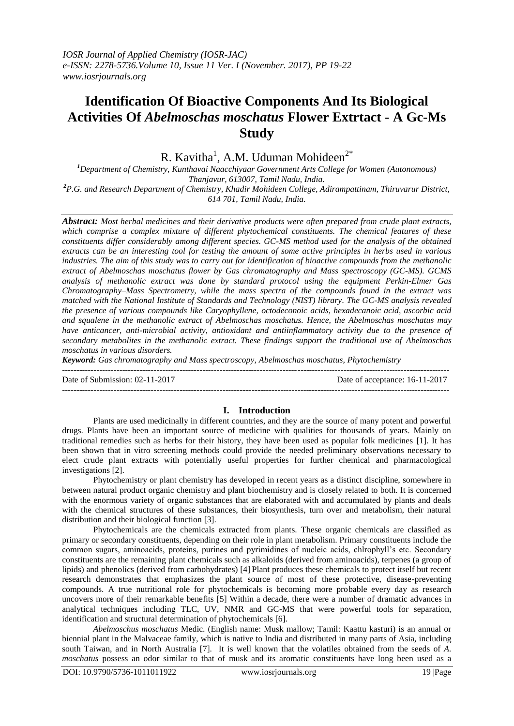# **Identification Of Bioactive Components And Its Biological Activities Of** *Abelmoschas moschatus* **Flower Extrtact - A Gc-Ms Study**

R. Kavitha<sup>1</sup>, A.M. Uduman Mohideen<sup>2\*</sup>

*<sup>1</sup>Department of Chemistry, Kunthavai Naacchiyaar Government Arts College for Women (Autonomous) Thanjavur, 613007, Tamil Nadu, India. <sup>2</sup>P.G. and Research Department of Chemistry, Khadir Mohideen College, Adirampattinam, Thiruvarur District,* 

*614 701, Tamil Nadu, India.*

*Abstract: Most herbal medicines and their derivative products were often prepared from crude plant extracts, which comprise a complex mixture of different phytochemical constituents. The chemical features of these constituents differ considerably among different species. GC-MS method used for the analysis of the obtained extracts can be an interesting tool for testing the amount of some active principles in herbs used in various industries. The aim of this study was to carry out for identification of bioactive compounds from the methanolic extract of Abelmoschas moschatus flower by Gas chromatography and Mass spectroscopy (GC-MS). GCMS analysis of methanolic extract was done by standard protocol using the equipment Perkin-Elmer Gas Chromatography–Mass Spectrometry, while the mass spectra of the compounds found in the extract was matched with the National Institute of Standards and Technology (NIST) library. The GC-MS analysis revealed the presence of various compounds like Caryophyllene, octodeconoic acids, hexadecanoic acid, ascorbic acid and squalene in the methanolic extract of Abelmoschas moschatus. Hence, the Abelmoschas moschatus may have anticancer, anti-microbial activity, antioxidant and antiinflammatory activity due to the presence of secondary metabolites in the methanolic extract. These findings support the traditional use of Abelmoschas moschatus in various disorders.* 

*Keyword: Gas chromatography and Mass spectroscopy, Abelmoschas moschatus, Phytochemistry*

---------------------------------------------------------------------------------------------------------------------------------------

Date of Submission: 02-11-2017 Date of acceptance: 16-11-2017

**I. Introduction**

---------------------------------------------------------------------------------------------------------------------------------------

Plants are used medicinally in different countries, and they are the source of many potent and powerful drugs. Plants have been an important source of medicine with qualities for thousands of years. Mainly on traditional remedies such as herbs for their history, they have been used as popular folk medicines [1]. It has been shown that in vitro screening methods could provide the needed preliminary observations necessary to elect crude plant extracts with potentially useful properties for further chemical and pharmacological investigations [2].

Phytochemistry or plant chemistry has developed in recent years as a distinct discipline, somewhere in between natural product organic chemistry and plant biochemistry and is closely related to both. It is concerned with the enormous variety of organic substances that are elaborated with and accumulated by plants and deals with the chemical structures of these substances, their biosynthesis, turn over and metabolism, their natural distribution and their biological function [3].

Phytochemicals are the chemicals extracted from plants. These organic chemicals are classified as primary or secondary constituents, depending on their role in plant metabolism. Primary constituents include the common sugars, aminoacids, proteins, purines and pyrimidines of nucleic acids, chlrophyll's etc. Secondary constituents are the remaining plant chemicals such as alkaloids (derived from aminoacids), terpenes (a group of lipids) and phenolics (derived from carbohydrates) [4] Plant produces these chemicals to protect itself but recent research demonstrates that emphasizes the plant source of most of these protective, disease-preventing compounds. A true nutritional role for phytochemicals is becoming more probable every day as research uncovers more of their remarkable benefits [5] Within a decade, there were a number of dramatic advances in analytical techniques including TLC, UV, NMR and GC-MS that were powerful tools for separation, identification and structural determination of phytochemicals [6].

*Abelmoschus moschatus* Medic. (English name: Musk mallow; Tamil: Kaattu kasturi) is an annual or biennial plant in the Malvaceae family, which is native to India and distributed in many parts of Asia, including south Taiwan, and in North Australia [7]. It is well known that the volatiles obtained from the seeds of *A. moschatus* possess an odor similar to that of musk and its aromatic constituents have long been used as a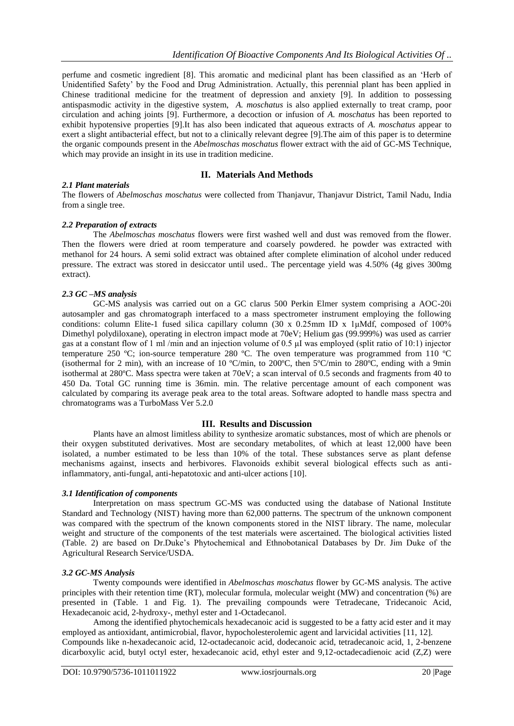perfume and cosmetic ingredient [8]. This aromatic and medicinal plant has been classified as an 'Herb of Unidentified Safety' by the Food and Drug Administration. Actually, this perennial plant has been applied in Chinese traditional medicine for the treatment of depression and anxiety [9]. In addition to possessing antispasmodic activity in the digestive system, *A. moschatus* is also applied externally to treat cramp, poor circulation and aching joints [9]. Furthermore, a decoction or infusion of *A. moschatus* has been reported to exhibit hypotensive properties [9].It has also been indicated that aqueous extracts of *A. moschatus* appear to exert a slight antibacterial effect, but not to a clinically relevant degree [9].The aim of this paper is to determine the organic compounds present in the *Abelmoschas moschatus* flower extract with the aid of GC-MS Technique, which may provide an insight in its use in tradition medicine.

# **II. Materials And Methods**

### *2.1 Plant materials*

The flowers of *Abelmoschas moschatus* were collected from Thanjavur, Thanjavur District, Tamil Nadu, India from a single tree.

## *2.2 Preparation of extracts*

The *Abelmoschas moschatus* flowers were first washed well and dust was removed from the flower. Then the flowers were dried at room temperature and coarsely powdered. he powder was extracted with methanol for 24 hours. A semi solid extract was obtained after complete elimination of alcohol under reduced pressure. The extract was stored in desiccator until used.. The percentage yield was 4.50% (4g gives 300mg extract).

### *2.3 GC –MS analysis*

GC-MS analysis was carried out on a GC clarus 500 Perkin Elmer system comprising a AOC-20i autosampler and gas chromatograph interfaced to a mass spectrometer instrument employing the following conditions: column Elite-1 fused silica capillary column (30 x 0.25mm ID x 1μMdf, composed of 100% Dimethyl polydiloxane), operating in electron impact mode at 70eV; Helium gas (99.999%) was used as carrier gas at a constant flow of 1 ml /min and an injection volume of 0.5 μI was employed (split ratio of 10:1) injector temperature 250 ºC; ion-source temperature 280 ºC. The oven temperature was programmed from 110 ºC (isothermal for 2 min), with an increase of 10 ºC/min, to 200ºC, then 5ºC/min to 280ºC, ending with a 9min isothermal at 280ºC. Mass spectra were taken at 70eV; a scan interval of 0.5 seconds and fragments from 40 to 450 Da. Total GC running time is 36min. min. The relative percentage amount of each component was calculated by comparing its average peak area to the total areas. Software adopted to handle mass spectra and chromatograms was a TurboMass Ver 5.2.0

### **III. Results and Discussion**

Plants have an almost limitless ability to synthesize aromatic substances, most of which are phenols or their oxygen substituted derivatives. Most are secondary metabolites, of which at least 12,000 have been isolated, a number estimated to be less than 10% of the total. These substances serve as plant defense mechanisms against, insects and herbivores. Flavonoids exhibit several biological effects such as antiinflammatory, anti-fungal, anti-hepatotoxic and anti-ulcer actions [10].

### *3.1 Identification of components*

Interpretation on mass spectrum GC-MS was conducted using the database of National Institute Standard and Technology (NIST) having more than 62,000 patterns. The spectrum of the unknown component was compared with the spectrum of the known components stored in the NIST library. The name, molecular weight and structure of the components of the test materials were ascertained. The biological activities listed (Table. 2) are based on Dr.Duke's Phytochemical and Ethnobotanical Databases by Dr. Jim Duke of the Agricultural Research Service/USDA.

### *3.2 GC-MS Analysis*

Twenty compounds were identified in *Abelmoschas moschatus* flower by GC-MS analysis. The active principles with their retention time (RT), molecular formula, molecular weight (MW) and concentration (%) are presented in (Table. 1 and Fig. 1). The prevailing compounds were Tetradecane, Tridecanoic Acid, Hexadecanoic acid, 2-hydroxy-, methyl ester and 1-Octadecanol.

Among the identified phytochemicals hexadecanoic acid is suggested to be a fatty acid ester and it may employed as antioxidant, antimicrobial, flavor, hypocholesterolemic agent and larvicidal activities [11, 12]. Compounds like n-hexadecanoic acid, 12-octadecanoic acid, dodecanoic acid, tetradecanoic acid, 1, 2-benzene dicarboxylic acid, butyl octyl ester, hexadecanoic acid, ethyl ester and 9,12-octadecadienoic acid (Z,Z) were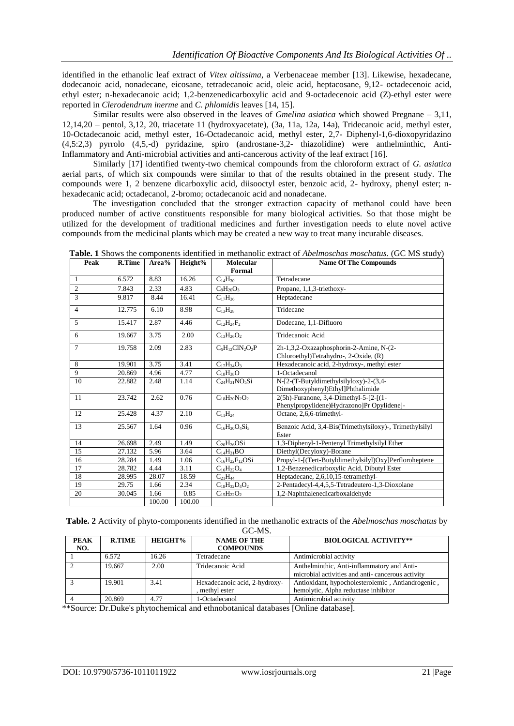identified in the ethanolic leaf extract of *Vitex altissima*, a Verbenaceae member [13]. Likewise, hexadecane, dodecanoic acid, nonadecane, eicosane, tetradecanoic acid, oleic acid, heptacosane, 9,12- octadecenoic acid, ethyl ester; n-hexadecanoic acid; 1,2-benzenedicarboxylic acid and 9-octadecenoic acid (Z)-ethyl ester were reported in *Clerodendrum inerme* and *C. phlomidis* leaves [14, 15].

Similar results were also observed in the leaves of *Gmelina asiatica* which showed Pregnane – 3,11, 12,14,20 – pentol, 3,12, 20, triacetate 11 (hydroxyacetate), (3a, 11a, 12a, 14a), Tridecanoic acid, methyl ester, 10-Octadecanoic acid, methyl ester, 16-Octadecanoic acid, methyl ester, 2,7- Diphenyl-1,6-dioxopyridazino (4,5:2,3) pyrrolo (4,5,-d) pyridazine, spiro (androstane-3,2- thiazolidine) were anthelminthic, Anti-Inflammatory and Anti-microbial activities and anti-cancerous activity of the leaf extract [16].

Similarly [17] identified twenty-two chemical compounds from the chloroform extract of *G. asiatica* aerial parts, of which six compounds were similar to that of the results obtained in the present study. The compounds were 1, 2 benzene dicarboxylic acid, diisooctyl ester, benzoic acid, 2- hydroxy, phenyl ester; nhexadecanic acid; octadecanol, 2-bromo; octadecanoic acid and nonadecane.

The investigation concluded that the stronger extraction capacity of methanol could have been produced number of active constituents responsible for many biological activities. So that those might be utilized for the development of traditional medicines and further investigation needs to elute novel active compounds from the medicinal plants which may be created a new way to treat many incurable diseases.

| Peak           | <b>R.Time</b> | Area%  | Height% | <b>Molecular</b><br>Formal | <b>Name Of The Compounds</b>                            |
|----------------|---------------|--------|---------|----------------------------|---------------------------------------------------------|
| 1              | 6.572         | 8.83   | 16.26   | $C_{14}H_{30}$             | Tetradecane                                             |
| $\overline{2}$ | 7.843         | 2.33   | 4.83    | $C_9H_{20}O_3$             | Propane, 1,1,3-triethoxy-                               |
| $\mathcal{L}$  |               |        |         |                            |                                                         |
|                | 9.817         | 8.44   | 16.41   | $C_{17}H_{36}$             | Heptadecane                                             |
| $\overline{4}$ | 12.775        | 6.10   | 8.98    | $C_{13}H_{28}$             | Tridecane                                               |
| 5              | 15.417        | 2.87   | 4.46    | $C_{12}H_{24}F_2$          | Dodecane, 1,1-Difluoro                                  |
| 6              | 19.667        | 3.75   | 2.00    | $C_{13}H_{26}O_2$          | Tridecanoic Acid                                        |
| $\overline{7}$ | 19.758        | 2.09   | 2.83    | $C_5H_{12}CIN_2O_2P$       | 2h-1,3,2-Oxazaphosphorin-2-Amine, N-(2-                 |
|                |               |        |         |                            | Chloroethyl)Tetrahydro-, 2-Oxide, (R)                   |
| 8              | 19.901        | 3.75   | 3.41    | $C_{17}H_{34}O_3$          | Hexadecanoic acid, 2-hydroxy-, methyl ester             |
| 9              | 20.869        | 4.96   | 4.77    | $C_{18}H_{38}O$            | 1-Octadecanol                                           |
| 10             | 22.882        | 2.48   | 1.14    | $C_{24}H_{31}NO_{5}Si$     | N-[2-(T-Butyldimethylsilyloxy)-2-(3,4-                  |
|                |               |        |         |                            | Dimethoxyphenyl)Ethyl]Phthalimide                       |
| 11             | 23.742        | 2.62   | 0.76    | $C_{18}H_{20}N_2O_2$       | 2(5h)-Furanone, 3,4-Dimethyl-5-[2-[(1-                  |
|                |               |        |         |                            | Phenylpropylidene)Hydrazono]Pr Opylidene]-              |
| 12             | 25.428        | 4.37   | 2.10    | $C_{11}H_{24}$             | Octane, 2,6,6-trimethyl-                                |
| 13             | 25.567        | 1.64   | 0.96    | $C_{16}H_{30}O_4Si_3$      | Benzoic Acid, 3,4-Bis(Trimethylsiloxy)-, Trimethylsilyl |
|                |               |        |         |                            | Ester                                                   |
| 14             | 26.698        | 2.49   | 1.49    | $C_{20}H_{26}OSi$          | 1,3-Diphenyl-1-Pentenyl Trimethylsilyl Ether            |
| 15             | 27.132        | 5.96   | 3.64    | $C_{14}H_{31}BO$           | Diethyl(Decyloxy)-Borane                                |
| 16             | 28.284        | 1.49   | 1.06    | $C_{16}H_{22}F_{12}OSi$    | Propyl-1-[(Tert-Butyldimethylsilyl)Oxy]Perfloroheptene  |
| 17             | 28.782        | 4.44   | 3.11    | $C_{16}H_{22}O_4$          | 1,2-Benzenedicarboxylic Acid, Dibutyl Ester             |
| 18             | 28.995        | 28.07  | 18.59   | $C_{21}H_{44}$             | Heptadecane, 2,6,10,15-tetramethyl-                     |
| 19             | 29.75         | 1.66   | 2.34    | $C_{18}H_{32}D_4O_2$       | 2-Pentadecyl-4,4,5,5-Tetradeutero-1,3-Dioxolane         |
| 20             | 30.045        | 1.66   | 0.85    | $C_{15}H_{22}O_2$          | 1,2-Naphthalenedicarboxaldehyde                         |
|                |               | 100.00 | 100.00  |                            |                                                         |

**Table. 1** Shows the components identified in methanolic extract of *Abelmoschas moschatus.* (GC MS study)

**Table. 2** Activity of phyto-components identified in the methanolic extracts of the *Abelmoschas moschatus* by

| GC-MS.             |               |                |                                                 |                                                                                                |  |  |  |  |
|--------------------|---------------|----------------|-------------------------------------------------|------------------------------------------------------------------------------------------------|--|--|--|--|
| <b>PEAK</b><br>NO. | <b>R.TIME</b> | <b>HEIGHT%</b> | <b>NAME OF THE</b><br><b>COMPOUNDS</b>          | <b>BIOLOGICAL ACTIVITY**</b>                                                                   |  |  |  |  |
|                    | 6.572         | 16.26          | Tetradecane                                     | Antimicrobial activity                                                                         |  |  |  |  |
|                    | 19.667        | 2.00           | Tridecanoic Acid                                | Anthelminthic, Anti-inflammatory and Anti-<br>microbial activities and anti-cancerous activity |  |  |  |  |
|                    | 19.901        | 3.41           | Hexadecanoic acid, 2-hydroxy-<br>, methyl ester | Antioxidant, hypocholesterolemic, Antiandrogenic,<br>hemolytic, Alpha reductase inhibitor      |  |  |  |  |
|                    | 20.869        | 4.77           | 1-Octadecanol                                   | Antimicrobial activity                                                                         |  |  |  |  |

\*\*Source: Dr.Duke's phytochemical and ethnobotanical databases [Online database].